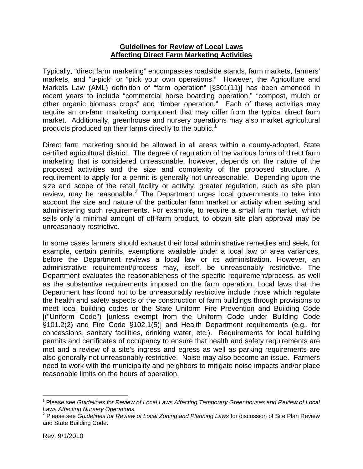## **Guidelines for Review of Local Laws Affecting Direct Farm Marketing Activities**

Typically, "direct farm marketing" encompasses roadside stands, farm markets, farmers' markets, and "u-pick" or "pick your own operations." However, the Agriculture and Markets Law (AML) definition of "farm operation" [§301(11)] has been amended in recent years to include "commercial horse boarding operation," "compost, mulch or other organic biomass crops" and "timber operation." Each of these activities may require an on-farm marketing component that may differ from the typical direct farm market. Additionally, greenhouse and nursery operations may also market agricultural products produced on their farms directly to the public.<sup>[1](#page-0-0)</sup>

Direct farm marketing should be allowed in all areas within a county-adopted, State certified agricultural district. The degree of regulation of the various forms of direct farm marketing that is considered unreasonable, however, depends on the nature of the proposed activities and the size and complexity of the proposed structure. A requirement to apply for a permit is generally not unreasonable. Depending upon the size and scope of the retail facility or activity, greater regulation, such as site plan review, may be reasonable.<sup>[2](#page-0-1)</sup> The Department urges local governments to take into account the size and nature of the particular farm market or activity when setting and administering such requirements. For example, to require a small farm market, which sells only a minimal amount of off-farm product, to obtain site plan approval may be unreasonably restrictive.

In some cases farmers should exhaust their local administrative remedies and seek, for example, certain permits, exemptions available under a local law or area variances, before the Department reviews a local law or its administration. However, an administrative requirement/process may, itself, be unreasonably restrictive. The Department evaluates the reasonableness of the specific requirement/process, as well as the substantive requirements imposed on the farm operation. Local laws that the Department has found not to be unreasonably restrictive include those which regulate the health and safety aspects of the construction of farm buildings through provisions to meet local building codes or the State Uniform Fire Prevention and Building Code [("Uniform Code") [unless exempt from the Uniform Code under Building Code §101.2(2) and Fire Code §102.1(5)] and Health Department requirements (e.g., for concessions, sanitary facilities, drinking water, etc.). Requirements for local building permits and certificates of occupancy to ensure that health and safety requirements are met and a review of a site's ingress and egress as well as parking requirements are also generally not unreasonably restrictive. Noise may also become an issue. Farmers need to work with the municipality and neighbors to mitigate noise impacts and/or place reasonable limits on the hours of operation.

 $\overline{a}$ 

<span id="page-0-0"></span><sup>1</sup> Please see *Guidelines for Review of Local Laws Affecting Temporary Greenhouses and Review of Local Laws Affecting Nursery Operations.*

<span id="page-0-1"></span><sup>2</sup> Please see *Guidelines for Review of Local Zoning and Planning Laws* for discussion of Site Plan Review and State Building Code.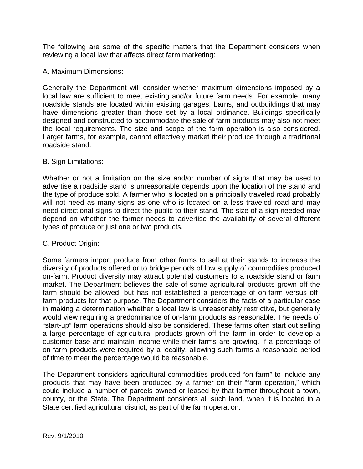The following are some of the specific matters that the Department considers when reviewing a local law that affects direct farm marketing:

## A. Maximum Dimensions:

Generally the Department will consider whether maximum dimensions imposed by a local law are sufficient to meet existing and/or future farm needs. For example, many roadside stands are located within existing garages, barns, and outbuildings that may have dimensions greater than those set by a local ordinance. Buildings specifically designed and constructed to accommodate the sale of farm products may also not meet the local requirements. The size and scope of the farm operation is also considered. Larger farms, for example, cannot effectively market their produce through a traditional roadside stand.

## B. Sign Limitations:

Whether or not a limitation on the size and/or number of signs that may be used to advertise a roadside stand is unreasonable depends upon the location of the stand and the type of produce sold. A farmer who is located on a principally traveled road probably will not need as many signs as one who is located on a less traveled road and may need directional signs to direct the public to their stand. The size of a sign needed may depend on whether the farmer needs to advertise the availability of several different types of produce or just one or two products.

## C. Product Origin:

Some farmers import produce from other farms to sell at their stands to increase the diversity of products offered or to bridge periods of low supply of commodities produced on-farm. Product diversity may attract potential customers to a roadside stand or farm market. The Department believes the sale of some agricultural products grown off the farm should be allowed, but has not established a percentage of on-farm versus offfarm products for that purpose. The Department considers the facts of a particular case in making a determination whether a local law is unreasonably restrictive, but generally would view requiring a predominance of on-farm products as reasonable. The needs of "start-up" farm operations should also be considered. These farms often start out selling a large percentage of agricultural products grown off the farm in order to develop a customer base and maintain income while their farms are growing. If a percentage of on-farm products were required by a locality, allowing such farms a reasonable period of time to meet the percentage would be reasonable.

The Department considers agricultural commodities produced "on-farm" to include any products that may have been produced by a farmer on their "farm operation," which could include a number of parcels owned or leased by that farmer throughout a town, county, or the State. The Department considers all such land, when it is located in a State certified agricultural district, as part of the farm operation.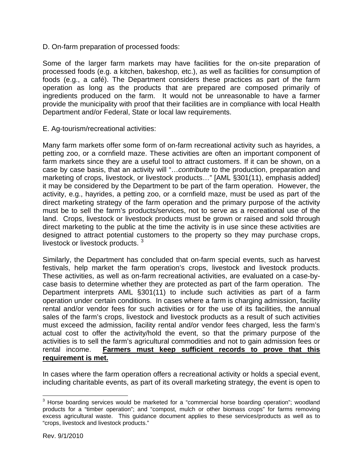D. On-farm preparation of processed foods:

Some of the larger farm markets may have facilities for the on-site preparation of processed foods (e.g. a kitchen, bakeshop, etc.), as well as facilities for consumption of foods (e.g., a café). The Department considers these practices as part of the farm operation as long as the products that are prepared are composed primarily of ingredients produced on the farm. It would not be unreasonable to have a farmer provide the municipality with proof that their facilities are in compliance with local Health Department and/or Federal, State or local law requirements.

E. Ag-tourism/recreational activities:

Many farm markets offer some form of on-farm recreational activity such as hayrides, a petting zoo, or a cornfield maze. These activities are often an important component of farm markets since they are a useful tool to attract customers. If it can be shown, on a case by case basis, that an activity will "…*contribute* to the production, preparation and marketing of crops, livestock, or livestock products…" [AML §301(11), emphasis added] it may be considered by the Department to be part of the farm operation. However, the activity, e.g., hayrides, a petting zoo, or a cornfield maze, must be used as part of the direct marketing strategy of the farm operation and the primary purpose of the activity must be to sell the farm's products/services, not to serve as a recreational use of the land. Crops, livestock or livestock products must be grown or raised and sold through direct marketing to the public at the time the activity is in use since these activities are designed to attract potential customers to the property so they may purchase crops, livestock or livestock products.<sup>[3](#page-2-0)</sup>

Similarly, the Department has concluded that on-farm special events, such as harvest festivals, help market the farm operation's crops, livestock and livestock products. These activities, as well as on-farm recreational activities, are evaluated on a case-bycase basis to determine whether they are protected as part of the farm operation. The Department interprets AML §301(11) to include such activities as part of a farm operation under certain conditions. In cases where a farm is charging admission, facility rental and/or vendor fees for such activities or for the use of its facilities, the annual sales of the farm's crops, livestock and livestock products as a result of such activities must exceed the admission, facility rental and/or vendor fees charged, less the farm's actual cost to offer the activity/hold the event, so that the primary purpose of the activities is to sell the farm's agricultural commodities and not to gain admission fees or rental income. **Farmers must keep sufficient records to prove that this requirement is met.**

In cases where the farm operation offers a recreational activity or holds a special event, including charitable events, as part of its overall marketing strategy, the event is open to

<span id="page-2-0"></span> 3 Horse boarding services would be marketed for a "commercial horse boarding operation"; woodland products for a "timber operation"; and "compost, mulch or other biomass crops" for farms removing excess agricultural waste. This guidance document applies to these services/products as well as to "crops, livestock and livestock products."